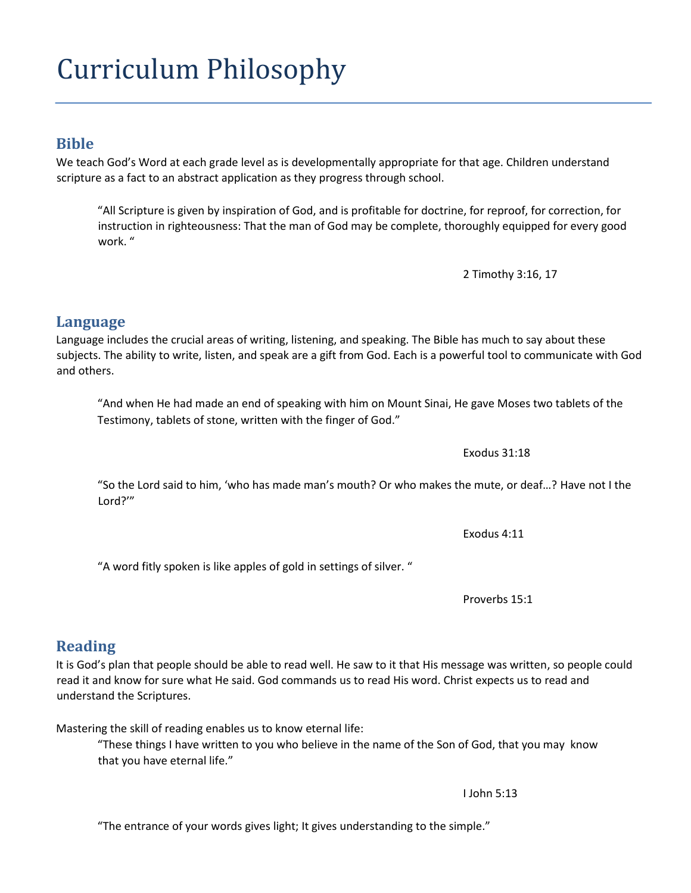# Curriculum Philosophy

#### **Bible**

We teach God's Word at each grade level as is developmentally appropriate for that age. Children understand scripture as a fact to an abstract application as they progress through school.

"All Scripture is given by inspiration of God, and is profitable for doctrine, for reproof, for correction, for instruction in righteousness: That the man of God may be complete, thoroughly equipped for every good work. "

2 Timothy 3:16, 17

#### **Language**

Language includes the crucial areas of writing, listening, and speaking. The Bible has much to say about these subjects. The ability to write, listen, and speak are a gift from God. Each is a powerful tool to communicate with God and others.

"And when He had made an end of speaking with him on Mount Sinai, He gave Moses two tablets of the Testimony, tablets of stone, written with the finger of God."

Exodus 31:18

"So the Lord said to him, 'who has made man's mouth? Or who makes the mute, or deaf…? Have not I the Lord?'"

Exodus 4:11

"A word fitly spoken is like apples of gold in settings of silver. "

Proverbs 15:1

### **Reading**

It is God's plan that people should be able to read well. He saw to it that His message was written, so people could read it and know for sure what He said. God commands us to read His word. Christ expects us to read and understand the Scriptures.

Mastering the skill of reading enables us to know eternal life:

"These things I have written to you who believe in the name of the Son of God, that you may know that you have eternal life."

I John 5:13

"The entrance of your words gives light; It gives understanding to the simple."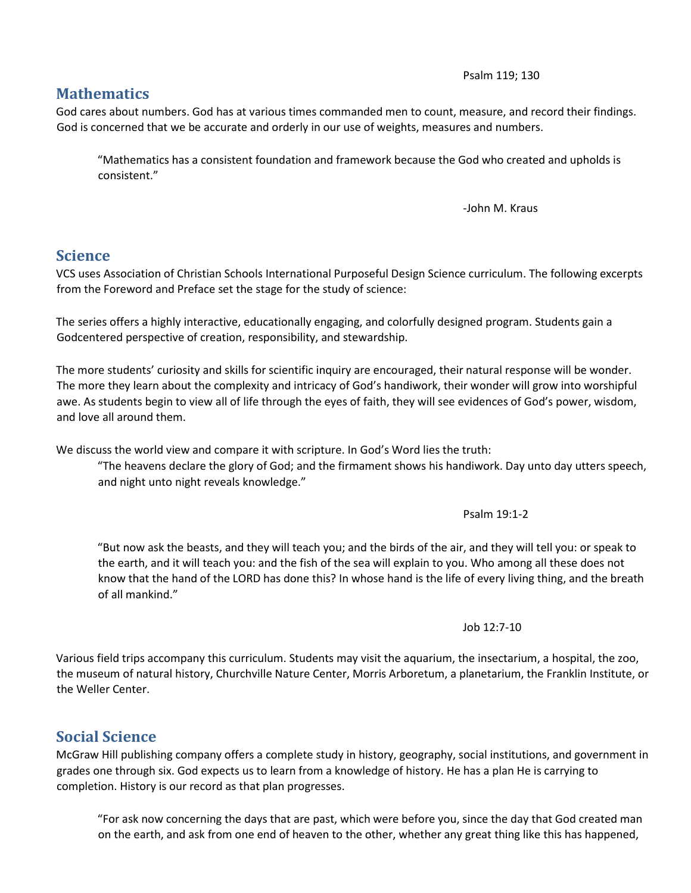#### Psalm 119; 130

#### **Mathematics**

God cares about numbers. God has at various times commanded men to count, measure, and record their findings. God is concerned that we be accurate and orderly in our use of weights, measures and numbers.

"Mathematics has a consistent foundation and framework because the God who created and upholds is consistent."

-John M. Kraus

#### **Science**

VCS uses Association of Christian Schools International Purposeful Design Science curriculum. The following excerpts from the Foreword and Preface set the stage for the study of science:

The series offers a highly interactive, educationally engaging, and colorfully designed program. Students gain a Godcentered perspective of creation, responsibility, and stewardship.

The more students' curiosity and skills for scientific inquiry are encouraged, their natural response will be wonder. The more they learn about the complexity and intricacy of God's handiwork, their wonder will grow into worshipful awe. As students begin to view all of life through the eyes of faith, they will see evidences of God's power, wisdom, and love all around them.

We discuss the world view and compare it with scripture. In God's Word lies the truth:

"The heavens declare the glory of God; and the firmament shows his handiwork. Day unto day utters speech, and night unto night reveals knowledge."

Psalm 19:1-2

"But now ask the beasts, and they will teach you; and the birds of the air, and they will tell you: or speak to the earth, and it will teach you: and the fish of the sea will explain to you. Who among all these does not know that the hand of the LORD has done this? In whose hand is the life of every living thing, and the breath of all mankind."

Job 12:7-10

Various field trips accompany this curriculum. Students may visit the aquarium, the insectarium, a hospital, the zoo, the museum of natural history, Churchville Nature Center, Morris Arboretum, a planetarium, the Franklin Institute, or the Weller Center.

### **Social Science**

McGraw Hill publishing company offers a complete study in history, geography, social institutions, and government in grades one through six. God expects us to learn from a knowledge of history. He has a plan He is carrying to completion. History is our record as that plan progresses.

"For ask now concerning the days that are past, which were before you, since the day that God created man on the earth, and ask from one end of heaven to the other, whether any great thing like this has happened,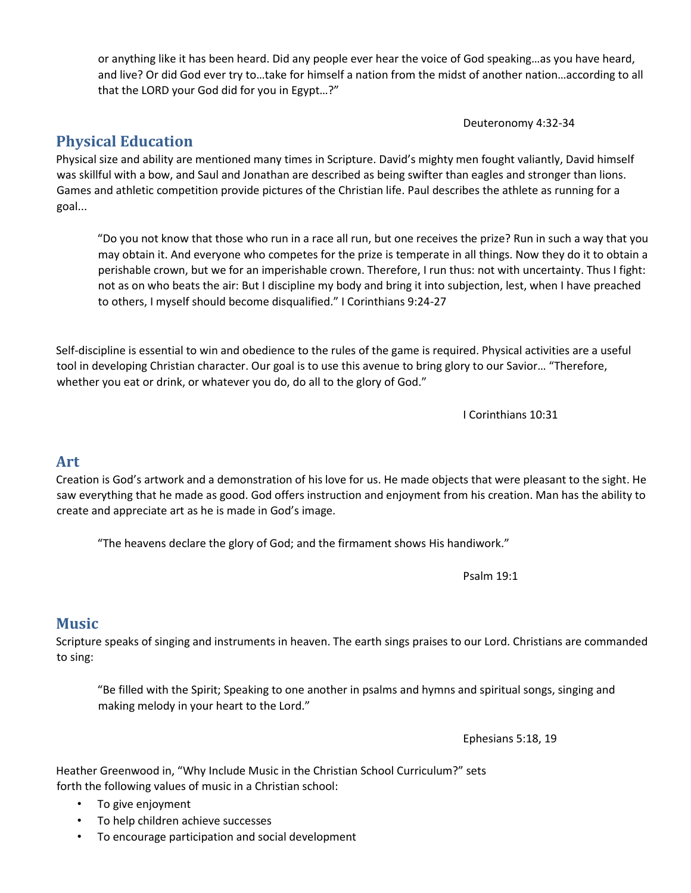or anything like it has been heard. Did any people ever hear the voice of God speaking…as you have heard, and live? Or did God ever try to…take for himself a nation from the midst of another nation…according to all that the LORD your God did for you in Egypt…?"

Deuteronomy 4:32-34

## **Physical Education**

Physical size and ability are mentioned many times in Scripture. David's mighty men fought valiantly, David himself was skillful with a bow, and Saul and Jonathan are described as being swifter than eagles and stronger than lions. Games and athletic competition provide pictures of the Christian life. Paul describes the athlete as running for a goal...

"Do you not know that those who run in a race all run, but one receives the prize? Run in such a way that you may obtain it. And everyone who competes for the prize is temperate in all things. Now they do it to obtain a perishable crown, but we for an imperishable crown. Therefore, I run thus: not with uncertainty. Thus I fight: not as on who beats the air: But I discipline my body and bring it into subjection, lest, when I have preached to others, I myself should become disqualified." I Corinthians 9:24-27

Self-discipline is essential to win and obedience to the rules of the game is required. Physical activities are a useful tool in developing Christian character. Our goal is to use this avenue to bring glory to our Savior… "Therefore, whether you eat or drink, or whatever you do, do all to the glory of God."

I Corinthians 10:31

#### **Art**

Creation is God's artwork and a demonstration of his love for us. He made objects that were pleasant to the sight. He saw everything that he made as good. God offers instruction and enjoyment from his creation. Man has the ability to create and appreciate art as he is made in God's image.

"The heavens declare the glory of God; and the firmament shows His handiwork."

Psalm 19:1

### **Music**

Scripture speaks of singing and instruments in heaven. The earth sings praises to our Lord. Christians are commanded to sing:

"Be filled with the Spirit; Speaking to one another in psalms and hymns and spiritual songs, singing and making melody in your heart to the Lord."

Ephesians 5:18, 19

Heather Greenwood in, "Why Include Music in the Christian School Curriculum?" sets forth the following values of music in a Christian school:

- To give enjoyment
- To help children achieve successes
- To encourage participation and social development